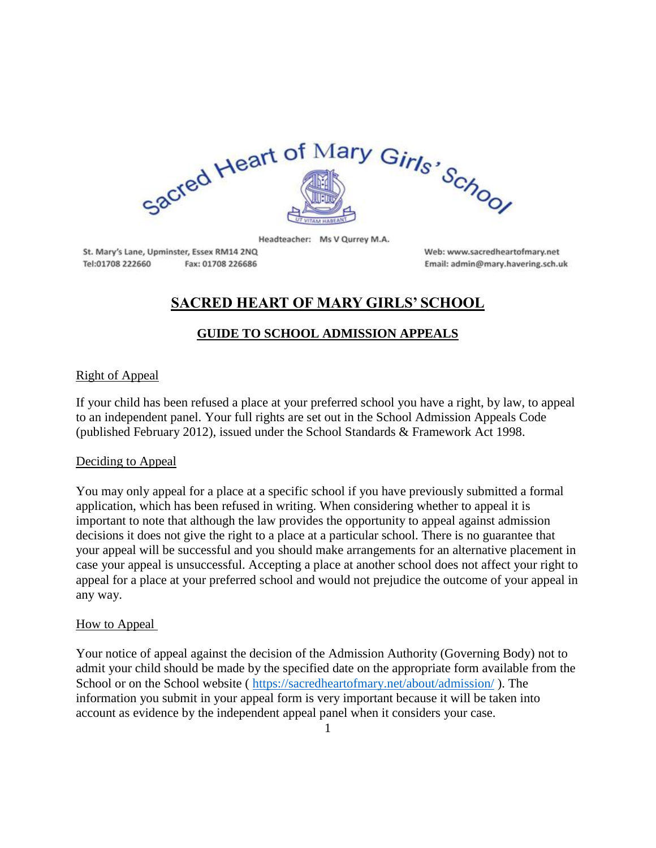

Headteacher: Ms V Qurrey M.A.

St. Mary's Lane, Upminster, Essex RM14 2NQ Tel:01708 222660 Fax: 01708 226686

Web: www.sacredheartofmary.net Email: admin@mary.havering.sch.uk

# **SACRED HEART OF MARY GIRLS' SCHOOL**

## **GUIDE TO SCHOOL ADMISSION APPEALS**

### Right of Appeal

If your child has been refused a place at your preferred school you have a right, by law, to appeal to an independent panel. Your full rights are set out in the School Admission Appeals Code (published February 2012), issued under the School Standards & Framework Act 1998.

### Deciding to Appeal

You may only appeal for a place at a specific school if you have previously submitted a formal application, which has been refused in writing. When considering whether to appeal it is important to note that although the law provides the opportunity to appeal against admission decisions it does not give the right to a place at a particular school. There is no guarantee that your appeal will be successful and you should make arrangements for an alternative placement in case your appeal is unsuccessful. Accepting a place at another school does not affect your right to appeal for a place at your preferred school and would not prejudice the outcome of your appeal in any way.

### How to Appeal

Your notice of appeal against the decision of the Admission Authority (Governing Body) not to admit your child should be made by the specified date on the appropriate form available from the School or on the School website ( <https://sacredheartofmary.net/about/admission/> ). The information you submit in your appeal form is very important because it will be taken into account as evidence by the independent appeal panel when it considers your case.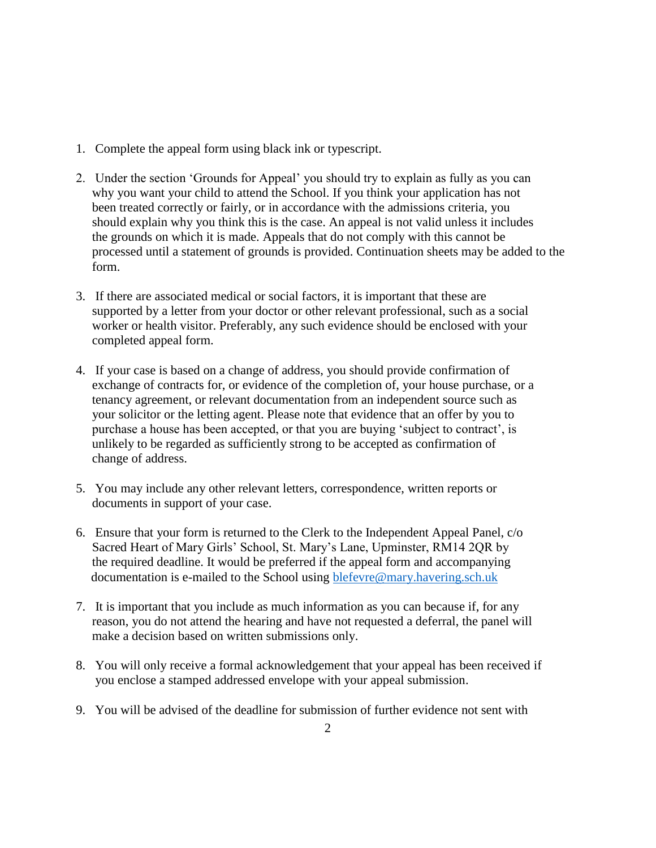- 1. Complete the appeal form using black ink or typescript.
- 2. Under the section 'Grounds for Appeal' you should try to explain as fully as you can why you want your child to attend the School. If you think your application has not been treated correctly or fairly, or in accordance with the admissions criteria, you should explain why you think this is the case. An appeal is not valid unless it includes the grounds on which it is made. Appeals that do not comply with this cannot be processed until a statement of grounds is provided. Continuation sheets may be added to the form.
- 3. If there are associated medical or social factors, it is important that these are supported by a letter from your doctor or other relevant professional, such as a social worker or health visitor. Preferably, any such evidence should be enclosed with your completed appeal form.
- 4. If your case is based on a change of address, you should provide confirmation of exchange of contracts for, or evidence of the completion of, your house purchase, or a tenancy agreement, or relevant documentation from an independent source such as your solicitor or the letting agent. Please note that evidence that an offer by you to purchase a house has been accepted, or that you are buying 'subject to contract', is unlikely to be regarded as sufficiently strong to be accepted as confirmation of change of address.
- 5. You may include any other relevant letters, correspondence, written reports or documents in support of your case.
- 6. Ensure that your form is returned to the Clerk to the Independent Appeal Panel, c/o Sacred Heart of Mary Girls' School, St. Mary's Lane, Upminster, RM14 2QR by the required deadline. It would be preferred if the appeal form and accompanying documentation is e-mailed to the School using [blefevre@mary.havering.sch.uk](mailto:blefevre@mary.havering.sch.uk)
- 7. It is important that you include as much information as you can because if, for any reason, you do not attend the hearing and have not requested a deferral, the panel will make a decision based on written submissions only.
- 8. You will only receive a formal acknowledgement that your appeal has been received if you enclose a stamped addressed envelope with your appeal submission.
- 9. You will be advised of the deadline for submission of further evidence not sent with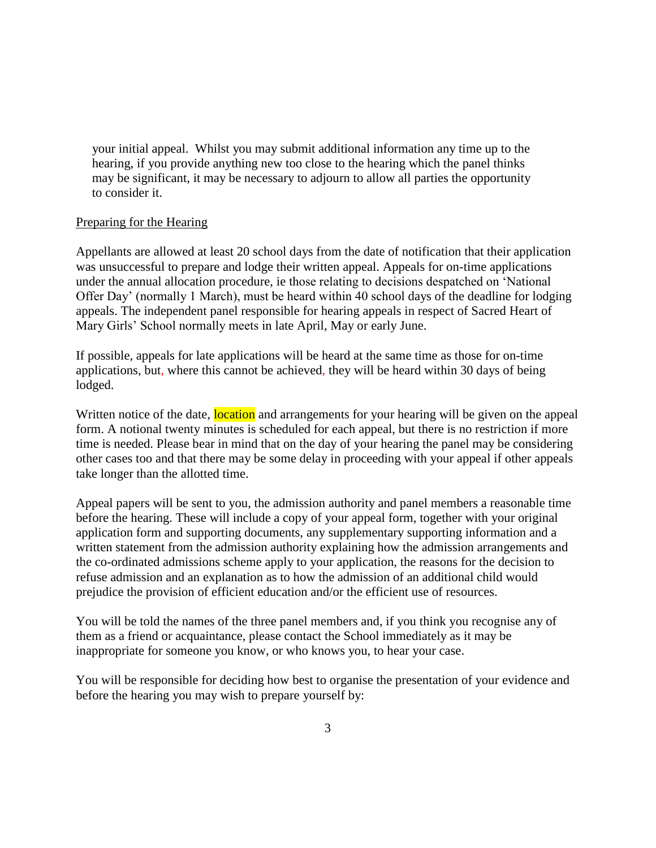your initial appeal. Whilst you may submit additional information any time up to the hearing, if you provide anything new too close to the hearing which the panel thinks may be significant, it may be necessary to adjourn to allow all parties the opportunity to consider it.

### Preparing for the Hearing

Appellants are allowed at least 20 school days from the date of notification that their application was unsuccessful to prepare and lodge their written appeal. Appeals for on-time applications under the annual allocation procedure, ie those relating to decisions despatched on 'National Offer Day' (normally 1 March), must be heard within 40 school days of the deadline for lodging appeals. The independent panel responsible for hearing appeals in respect of Sacred Heart of Mary Girls' School normally meets in late April, May or early June.

If possible, appeals for late applications will be heard at the same time as those for on-time applications, but, where this cannot be achieved, they will be heard within 30 days of being lodged.

Written notice of the date, location and arrangements for your hearing will be given on the appeal form. A notional twenty minutes is scheduled for each appeal, but there is no restriction if more time is needed. Please bear in mind that on the day of your hearing the panel may be considering other cases too and that there may be some delay in proceeding with your appeal if other appeals take longer than the allotted time.

Appeal papers will be sent to you, the admission authority and panel members a reasonable time before the hearing. These will include a copy of your appeal form, together with your original application form and supporting documents, any supplementary supporting information and a written statement from the admission authority explaining how the admission arrangements and the co-ordinated admissions scheme apply to your application, the reasons for the decision to refuse admission and an explanation as to how the admission of an additional child would prejudice the provision of efficient education and/or the efficient use of resources.

You will be told the names of the three panel members and, if you think you recognise any of them as a friend or acquaintance, please contact the School immediately as it may be inappropriate for someone you know, or who knows you, to hear your case.

You will be responsible for deciding how best to organise the presentation of your evidence and before the hearing you may wish to prepare yourself by: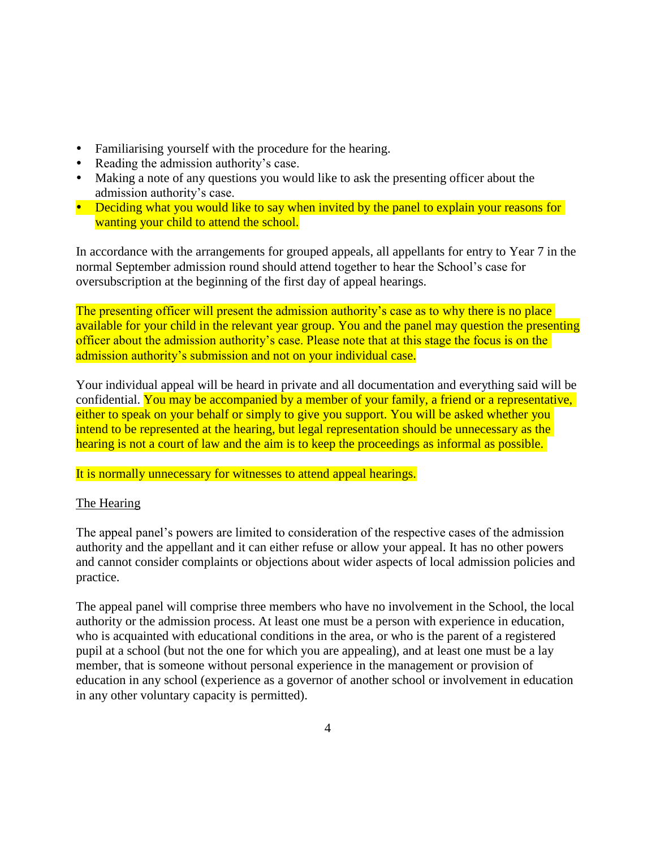- Familiarising yourself with the procedure for the hearing.
- Reading the admission authority's case.
- Making a note of any questions you would like to ask the presenting officer about the admission authority's case.
- Deciding what you would like to say when invited by the panel to explain your reasons for wanting your child to attend the school.

In accordance with the arrangements for grouped appeals, all appellants for entry to Year 7 in the normal September admission round should attend together to hear the School's case for oversubscription at the beginning of the first day of appeal hearings.

The presenting officer will present the admission authority's case as to why there is no place available for your child in the relevant year group. You and the panel may question the presenting officer about the admission authority's case. Please note that at this stage the focus is on the admission authority's submission and not on your individual case.

Your individual appeal will be heard in private and all documentation and everything said will be confidential. You may be accompanied by a member of your family, a friend or a representative, either to speak on your behalf or simply to give you support. You will be asked whether you intend to be represented at the hearing, but legal representation should be unnecessary as the hearing is not a court of law and the aim is to keep the proceedings as informal as possible.

### It is normally unnecessary for witnesses to attend appeal hearings.

### The Hearing

The appeal panel's powers are limited to consideration of the respective cases of the admission authority and the appellant and it can either refuse or allow your appeal. It has no other powers and cannot consider complaints or objections about wider aspects of local admission policies and practice.

The appeal panel will comprise three members who have no involvement in the School, the local authority or the admission process. At least one must be a person with experience in education, who is acquainted with educational conditions in the area, or who is the parent of a registered pupil at a school (but not the one for which you are appealing), and at least one must be a lay member, that is someone without personal experience in the management or provision of education in any school (experience as a governor of another school or involvement in education in any other voluntary capacity is permitted).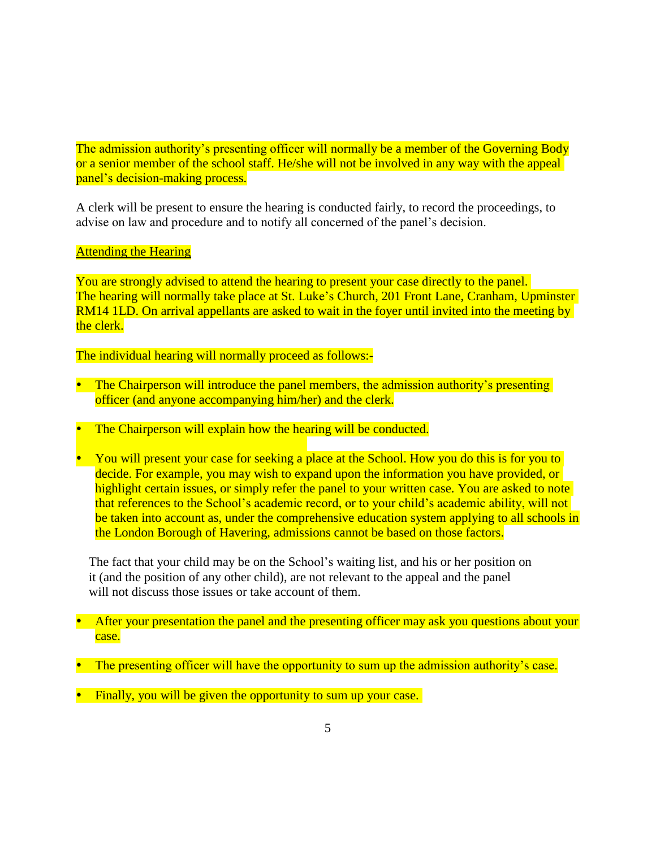The admission authority's presenting officer will normally be a member of the Governing Body or a senior member of the school staff. He/she will not be involved in any way with the appeal panel's decision-making process.

A clerk will be present to ensure the hearing is conducted fairly, to record the proceedings, to advise on law and procedure and to notify all concerned of the panel's decision.

**Attending the Hearing** 

You are strongly advised to attend the hearing to present your case directly to the panel. The hearing will normally take place at St. Luke's Church, 201 Front Lane, Cranham, Upminster RM14 1LD. On arrival appellants are asked to wait in the foyer until invited into the meeting by the clerk.

The individual hearing will normally proceed as follows:-

- The Chairperson will introduce the panel members, the admission authority's presenting officer (and anyone accompanying him/her) and the clerk.
- The Chairperson will explain how the hearing will be conducted.
- You will present your case for seeking a place at the School. How you do this is for you to decide. For example, you may wish to expand upon the information you have provided, or highlight certain issues, or simply refer the panel to your written case. You are asked to note that references to the School's academic record, or to your child's academic ability, will not be taken into account as, under the comprehensive education system applying to all schools in the London Borough of Havering, admissions cannot be based on those factors.

 The fact that your child may be on the School's waiting list, and his or her position on it (and the position of any other child), are not relevant to the appeal and the panel will not discuss those issues or take account of them.

- After your presentation the panel and the presenting officer may ask you questions about your case.
- The presenting officer will have the opportunity to sum up the admission authority's case.
- Finally, you will be given the opportunity to sum up your case.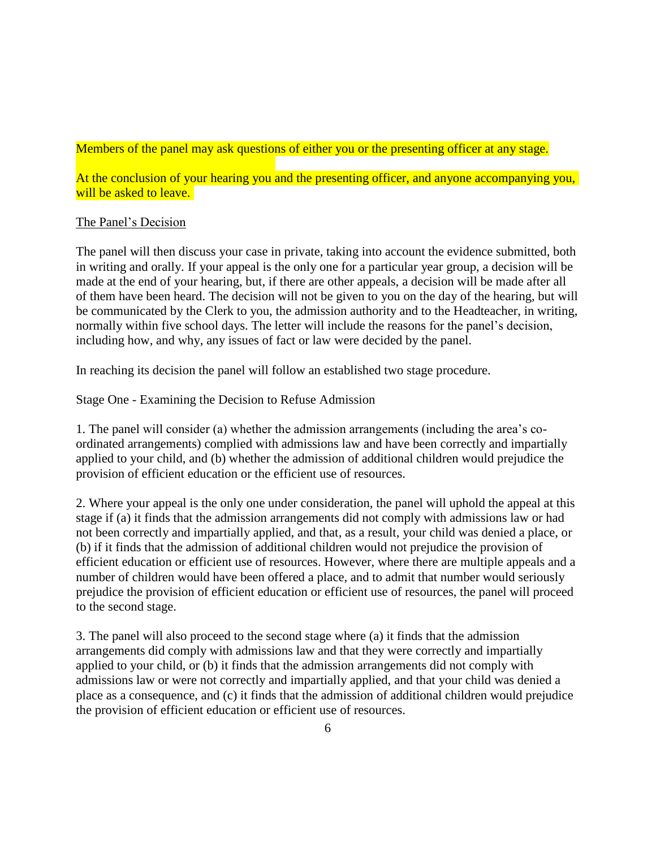Members of the panel may ask questions of either you or the presenting officer at any stage.

At the conclusion of your hearing you and the presenting officer, and anyone accompanying you, will be asked to leave.

### The Panel's Decision

The panel will then discuss your case in private, taking into account the evidence submitted, both in writing and orally. If your appeal is the only one for a particular year group, a decision will be made at the end of your hearing, but, if there are other appeals, a decision will be made after all of them have been heard. The decision will not be given to you on the day of the hearing, but will be communicated by the Clerk to you, the admission authority and to the Headteacher, in writing, normally within five school days. The letter will include the reasons for the panel's decision, including how, and why, any issues of fact or law were decided by the panel.

In reaching its decision the panel will follow an established two stage procedure.

Stage One - Examining the Decision to Refuse Admission

1. The panel will consider (a) whether the admission arrangements (including the area's coordinated arrangements) complied with admissions law and have been correctly and impartially applied to your child, and (b) whether the admission of additional children would prejudice the provision of efficient education or the efficient use of resources.

2. Where your appeal is the only one under consideration, the panel will uphold the appeal at this stage if (a) it finds that the admission arrangements did not comply with admissions law or had not been correctly and impartially applied, and that, as a result, your child was denied a place, or (b) if it finds that the admission of additional children would not prejudice the provision of efficient education or efficient use of resources. However, where there are multiple appeals and a number of children would have been offered a place, and to admit that number would seriously prejudice the provision of efficient education or efficient use of resources, the panel will proceed to the second stage.

3. The panel will also proceed to the second stage where (a) it finds that the admission arrangements did comply with admissions law and that they were correctly and impartially applied to your child, or (b) it finds that the admission arrangements did not comply with admissions law or were not correctly and impartially applied, and that your child was denied a place as a consequence, and (c) it finds that the admission of additional children would prejudice the provision of efficient education or efficient use of resources.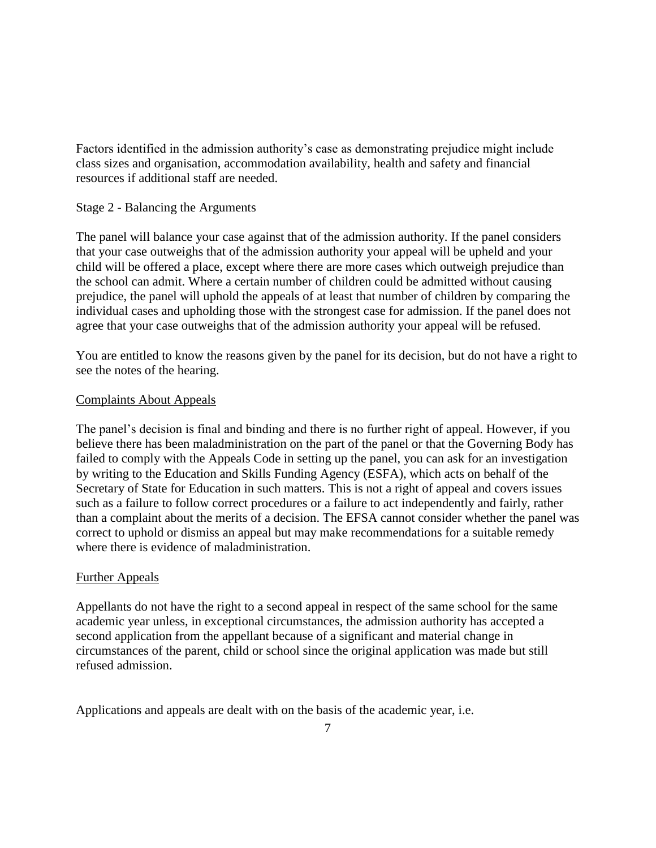Factors identified in the admission authority's case as demonstrating prejudice might include class sizes and organisation, accommodation availability, health and safety and financial resources if additional staff are needed.

### Stage 2 - Balancing the Arguments

The panel will balance your case against that of the admission authority. If the panel considers that your case outweighs that of the admission authority your appeal will be upheld and your child will be offered a place, except where there are more cases which outweigh prejudice than the school can admit. Where a certain number of children could be admitted without causing prejudice, the panel will uphold the appeals of at least that number of children by comparing the individual cases and upholding those with the strongest case for admission. If the panel does not agree that your case outweighs that of the admission authority your appeal will be refused.

You are entitled to know the reasons given by the panel for its decision, but do not have a right to see the notes of the hearing.

### Complaints About Appeals

The panel's decision is final and binding and there is no further right of appeal. However, if you believe there has been maladministration on the part of the panel or that the Governing Body has failed to comply with the Appeals Code in setting up the panel, you can ask for an investigation by writing to the Education and Skills Funding Agency (ESFA), which acts on behalf of the Secretary of State for Education in such matters. This is not a right of appeal and covers issues such as a failure to follow correct procedures or a failure to act independently and fairly, rather than a complaint about the merits of a decision. The EFSA cannot consider whether the panel was correct to uphold or dismiss an appeal but may make recommendations for a suitable remedy where there is evidence of maladministration.

### Further Appeals

Appellants do not have the right to a second appeal in respect of the same school for the same academic year unless, in exceptional circumstances, the admission authority has accepted a second application from the appellant because of a significant and material change in circumstances of the parent, child or school since the original application was made but still refused admission.

Applications and appeals are dealt with on the basis of the academic year, i.e.